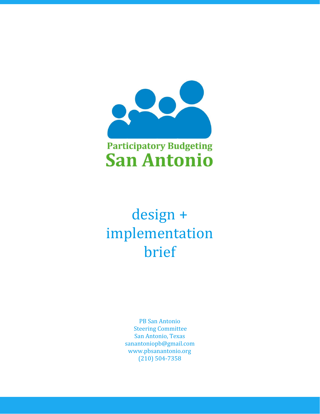

# design + implementation brief

PB San Antonio Steering Committee San Antonio, Texas sanantoniopb@gmail.com www.pbsanantonio.org (210) 504-7358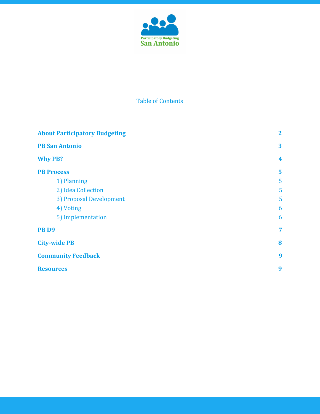

# Table of Contents

| <b>About Participatory Budgeting</b> | $\mathbf{2}$<br>3 |
|--------------------------------------|-------------------|
| <b>PB San Antonio</b>                |                   |
| <b>Why PB?</b>                       | 4                 |
| <b>PB Process</b>                    | 5                 |
| 1) Planning                          | 5                 |
| 2) Idea Collection                   | 5                 |
| 3) Proposal Development              | 5                 |
| 4) Voting                            | 6                 |
| 5) Implementation                    | 6                 |
| PB <sub>D9</sub>                     | 7                 |
| <b>City-wide PB</b>                  | 8                 |
| <b>Community Feedback</b>            | 9                 |
| <b>Resources</b>                     | 9                 |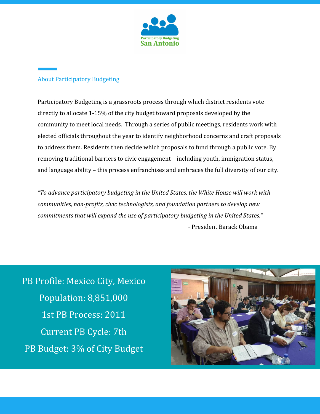

# <span id="page-2-0"></span>About Participatory Budgeting

Participatory Budgeting is a grassroots process through which district residents vote directly to allocate 1-15% of the city budget toward proposals developed by the community to meet local needs. Through a series of public meetings, residents work with elected officials throughout the year to identify neighborhood concerns and craft proposals to address them. Residents then decide which proposals to fund through a public vote. By removing traditional barriers to civic engagement – including youth, immigration status, and language ability – this process enfranchises and embraces the full diversity of our city.

*"To advance participatory budgeting in the United States, the White House will work with communities, non-profits, civic technologists, and foundation partners to develop new commitments that will expand the use of participatory budgeting in the United States."* - President Barack Obama

PB Profile: Mexico City, Mexico Population: 8,851,000 1st PB Process: 2011 Current PB Cycle: 7th PB Budget: 3% of City Budget

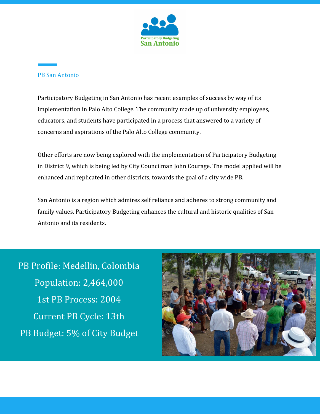

#### <span id="page-3-0"></span>PB San Antonio

Participatory Budgeting in San Antonio has recent examples of success by way of its implementation in Palo Alto College. The community made up of university employees, educators, and students have participated in a process that answered to a variety of concerns and aspirations of the Palo Alto College community.

Other efforts are now being explored with the implementation of Participatory Budgeting in District 9, which is being led by City Councilman John Courage. The model applied will be enhanced and replicated in other districts, towards the goal of a city wide PB.

San Antonio is a region which admires self reliance and adheres to strong community and family values. Participatory Budgeting enhances the cultural and historic qualities of San Antonio and its residents.

PB Profile: Medellin, Colombia Population: 2,464,000 1st PB Process: 2004 Current PB Cycle: 13th PB Budget: 5% of City Budget

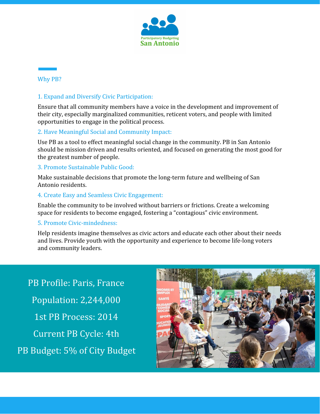

## <span id="page-4-0"></span>Why PB?

#### 1. Expand and Diversify Civic Participation:

Ensure that all community members have a voice in the development and improvement of their city, especially marginalized communities, reticent voters, and people with limited opportunities to engage in the political process.

## 2. Have Meaningful Social and Community Impact:

Use PB as a tool to effect meaningful social change in the community. PB in San Antonio should be mission driven and results oriented, and focused on generating the most good for the greatest number of people.

#### 3. Promote Sustainable Public Good:

Make sustainable decisions that promote the long-term future and wellbeing of San Antonio residents.

#### 4. Create Easy and Seamless Civic Engagement:

Enable the community to be involved without barriers or frictions. Create a welcoming space for residents to become engaged, fostering a "contagious" civic environment.

#### 5. Promote Civic-mindedness:

Help residents imagine themselves as civic actors and educate each other about their needs and lives. Provide youth with the opportunity and experience to become life-long voters and community leaders.

PB Profile: Paris, France Population: 2,244,000 1st PB Process: 2014 Current PB Cycle: 4th PB Budget: 5% of City Budget

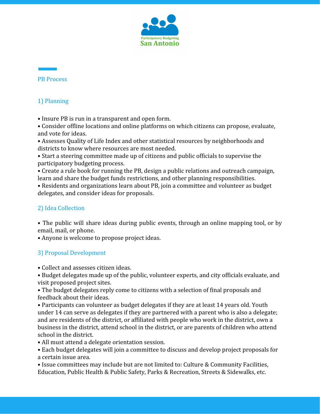

#### <span id="page-5-0"></span>**PR** Process

# <span id="page-5-1"></span>1) Planning

• Insure PB is run in a transparent and open form.

• Consider offline locations and online platforms on which citizens can propose, evaluate, and vote for ideas.

• Assesses Quality of Life Index and other statistical resources by neighborhoods and districts to know where resources are most needed.

• Start a steering committee made up of citizens and public officials to supervise the participatory budgeting process.

• Create a rule book for running the PB, design a public relations and outreach campaign, learn and share the budget funds restrictions, and other planning responsibilities.

• Residents and organizations learn about PB, join a committee and volunteer as budget delegates, and consider ideas for proposals.

## <span id="page-5-2"></span>2) Idea Collection

• The public will share ideas during public events, through an online mapping tool, or by email, mail, or phone.

• Anyone is welcome to propose project ideas.

## <span id="page-5-3"></span>3) Proposal Development

• Collect and assesses citizen ideas.

• Budget delegates made up of the public, volunteer experts, and city officials evaluate, and visit proposed project sites.

• The budget delegates reply come to citizens with a selection of final proposals and feedback about their ideas.

• Participants can volunteer as budget delegates if they are at least 14 years old. Youth under 14 can serve as delegates if they are partnered with a parent who is also a delegate; and are residents of the district, or affiliated with people who work in the district, own a business in the district, attend school in the district, or are parents of children who attend school in the district.

• All must attend a delegate orientation session.

• Each budget delegates will join a committee to discuss and develop project proposals for a certain issue area.

• Issue committees may include but are not limited to: Culture & Community Facilities, Education, Public Health & Public Safety, Parks & Recreation, Streets & Sidewalks, etc.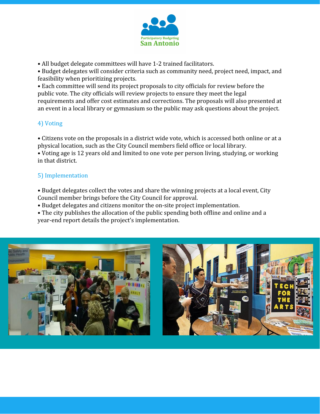

• All budget delegate committees will have 1-2 trained facilitators.

• Budget delegates will consider criteria such as community need, project need, impact, and feasibility when prioritizing projects.

• Each committee will send its project proposals to city officials for review before the public vote. The city officials will review projects to ensure they meet the legal requirements and offer cost estimates and corrections. The proposals will also presented at an event in a local library or gymnasium so the public may ask questions about the project.

## <span id="page-6-0"></span>4) Voting

• Citizens vote on the proposals in a district wide vote, which is accessed both online or at a physical location, such as the City Council members field office or local library.

• Voting age is 12 years old and limited to one vote per person living, studying, or working in that district.

# <span id="page-6-1"></span>5) Implementation

• Budget delegates collect the votes and share the winning projects at a local event, City Council member brings before the City Council for approval.

• Budget delegates and citizens monitor the on-site project implementation.

• The city publishes the allocation of the public spending both offline and online and a year-end report details the project's implementation.

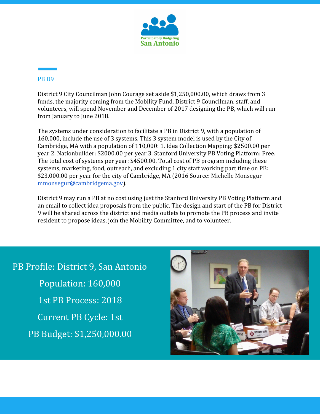

## <span id="page-7-0"></span>PB D9

District 9 City Councilman John Courage set aside \$1,250,000.00, which draws from 3 funds, the majority coming from the Mobility Fund. District 9 Councilman, staff, and volunteers, will spend November and December of 2017 designing the PB, which will run from January to June 2018.

The systems under consideration to facilitate a PB in District 9, with a population of 160,000, include the use of 3 systems. This 3 system model is used by the City of Cambridge, MA with a population of 110,000: 1. Idea Collection Mapping: \$2500.00 per year 2. Nationbuilder: \$2000.00 per year 3. Stanford University PB Voting Platform: Free. The total cost of systems per year: \$4500.00. Total cost of PB program including these systems, marketing, food, outreach, and excluding 1 city staff working part time on PB: \$23,000.00 per year for the city of Cambridge, MA (2016 Source: Michelle Monsegur [mmonsegur@cambridgema.gov\)](mailto:mmonsegur@cambridgema.gov).

District 9 may run a PB at no cost using just the Stanford University PB Voting Platform and an email to collect idea proposals from the public. The design and start of the PB for District 9 will be shared across the district and media outlets to promote the PB process and invite resident to propose ideas, join the Mobility Committee, and to volunteer.

PB Profile: District 9, San Antonio Population: 160,000 1st PB Process: 2018 Current PB Cycle: 1st PB Budget: \$1,250,000.00

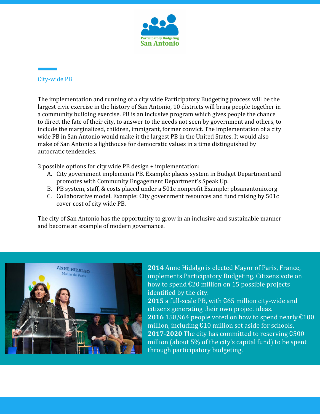

## <span id="page-8-0"></span>City-wide PB

The implementation and running of a city wide Participatory Budgeting process will be the largest civic exercise in the history of San Antonio, 10 districts will bring people together in a community building exercise. PB is an inclusive program which gives people the chance to direct the fate of their city, to answer to the needs not seen by government and others, to include the marginalized, children, immigrant, former convict. The implementation of a city wide PB in San Antonio would make it the largest PB in the United States. It would also make of San Antonio a lighthouse for democratic values in a time distinguished by autocratic tendencies.

3 possible options for city wide PB design + implementation:

- A. City government implements PB. Example: places system in Budget Department and promotes with Community Engagement Department's Speak Up.
- B. PB system, staff, & costs placed under a 501c nonprofit Example: pbsanantonio.org
- C. Collaborative model. Example: City government resources and fund raising by 501c cover cost of city wide PB.

The city of San Antonio has the opportunity to grow in an inclusive and sustainable manner and become an example of modern governance.



**2014** Anne Hidalgo is elected Mayor of Paris, France, implements Participatory Budgeting. Citizens vote on how to spend €20 million on 15 possible projects identified by the city.

**2015** a full-scale PB, with €65 million city-wide and citizens generating their own project ideas. **2016** 158,964 people voted on how to spend nearly €100 million, including €10 million set aside for schools. **2017-2020** The city has committed to reserving €500 million (about 5% of the city's capital fund) to be spent through participatory budgeting.